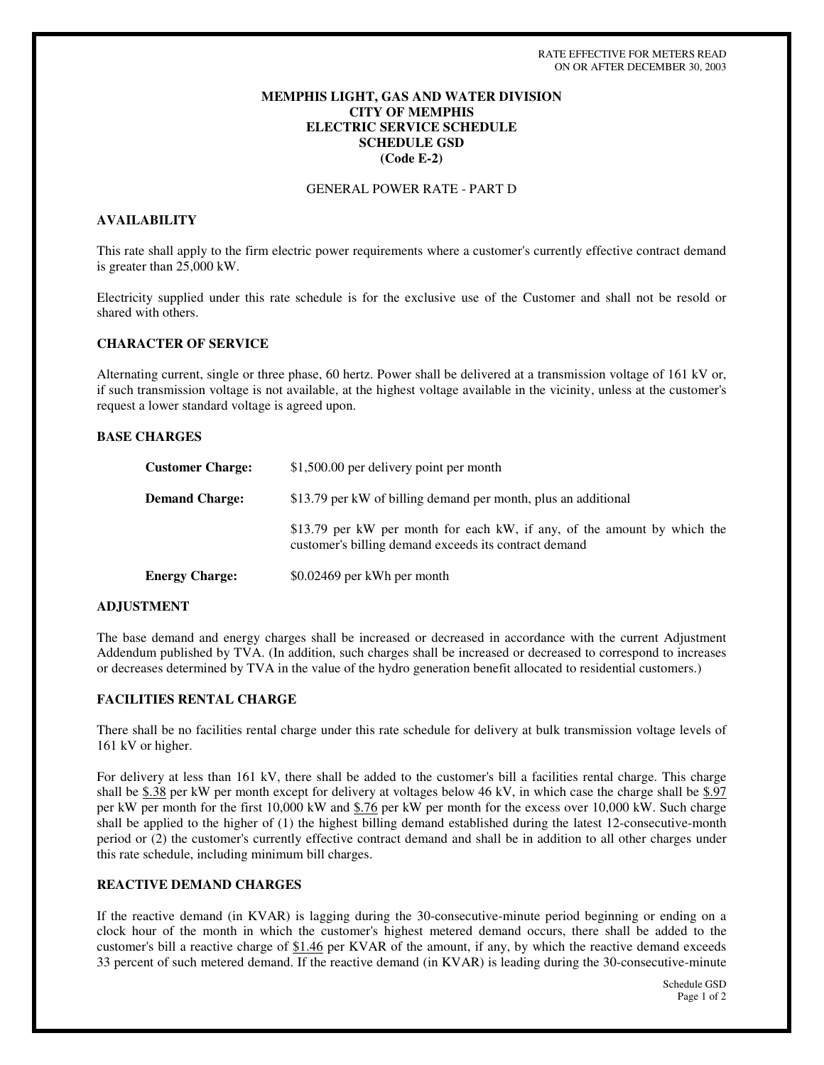# **MEMPHIS LIGHT, GAS AND WATER DIVISION CITY OF MEMPHIS ELECTRIC SERVICE SCHEDULE SCHEDULE GSD (Code E-2)**

# GENERAL POWER RATE - PART D

### **AVAILABILITY**

This rate shall apply to the firm electric power requirements where a customer's currently effective contract demand is greater than 25,000 kW.

Electricity supplied under this rate schedule is for the exclusive use of the Customer and shall not be resold or shared with others.

### **CHARACTER OF SERVICE**

Alternating current, single or three phase, 60 hertz. Power shall be delivered at a transmission voltage of 161 kV or, if such transmission voltage is not available, at the highest voltage available in the vicinity, unless at the customer's request a lower standard voltage is agreed upon.

# **BASE CHARGES**

| <b>Customer Charge:</b> | \$1,500.00 per delivery point per month                                                                                           |
|-------------------------|-----------------------------------------------------------------------------------------------------------------------------------|
| <b>Demand Charge:</b>   | \$13.79 per kW of billing demand per month, plus an additional                                                                    |
|                         | \$13.79 per kW per month for each kW, if any, of the amount by which the<br>customer's billing demand exceeds its contract demand |
| <b>Energy Charge:</b>   | \$0.02469 per kWh per month                                                                                                       |

#### **ADJUSTMENT**

The base demand and energy charges shall be increased or decreased in accordance with the current Adjustment Addendum published by TVA. (In addition, such charges shall be increased or decreased to correspond to increases or decreases determined by TVA in the value of the hydro generation benefit allocated to residential customers.)

### **FACILITIES RENTAL CHARGE**

There shall be no facilities rental charge under this rate schedule for delivery at bulk transmission voltage levels of 161 kV or higher.

For delivery at less than 161 kV, there shall be added to the customer's bill a facilities rental charge. This charge shall be \$.38 per kW per month except for delivery at voltages below 46 kV, in which case the charge shall be \$.97 per kW per month for the first 10,000 kW and \$.76 per kW per month for the excess over 10,000 kW. Such charge shall be applied to the higher of (1) the highest billing demand established during the latest 12-consecutive-month period or (2) the customer's currently effective contract demand and shall be in addition to all other charges under this rate schedule, including minimum bill charges.

# **REACTIVE DEMAND CHARGES**

If the reactive demand (in KVAR) is lagging during the 30-consecutive-minute period beginning or ending on a clock hour of the month in which the customer's highest metered demand occurs, there shall be added to the customer's bill a reactive charge of \$1.46 per KVAR of the amount, if any, by which the reactive demand exceeds 33 percent of such metered demand. If the reactive demand (in KVAR) is leading during the 30-consecutive-minute